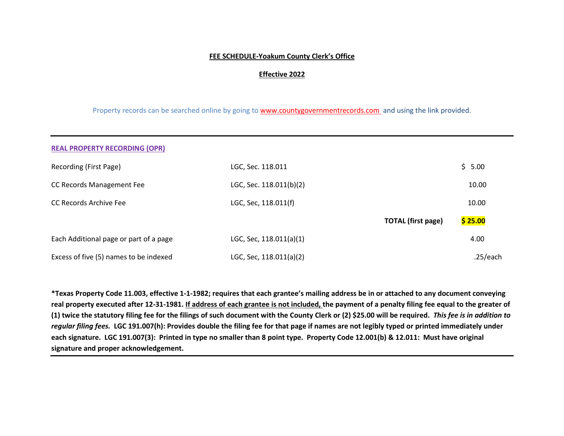#### **FEE SCHEDULE-Yoakum County Clerk's Office**

#### **Effective 2022**

Property records can be searched online by going to [www.countygovernmentrecords.com](http://www.countygovernmentrecords.com/) and using the link provided.

| <b>REAL PROPERTY RECORDING (OPR)</b>   |                         |                           |          |
|----------------------------------------|-------------------------|---------------------------|----------|
| Recording (First Page)                 | LGC, Sec. 118.011       |                           | \$5.00   |
| CC Records Management Fee              | LGC, Sec. 118.011(b)(2) |                           | 10.00    |
| CC Records Archive Fee                 | LGC, Sec, 118.011(f)    |                           | 10.00    |
|                                        |                         | <b>TOTAL (first page)</b> | \$25.00  |
| Each Additional page or part of a page | LGC, Sec, 118.011(a)(1) |                           | 4.00     |
| Excess of five (5) names to be indexed | LGC, Sec, 118.011(a)(2) |                           | .25/each |

**\*Texas Property Code 11.003, effective 1-1-1982; requires that each grantee's mailing address be in or attached to any document conveying real property executed after 12-31-1981. If address of each grantee is not included, the payment of a penalty filing fee equal to the greater of (1) twice the statutory filing fee for the filings of such document with the County Clerk or (2) \$25.00 will be required.** *This fee is in addition to regular filing fees.* **LGC 191.007(h): Provides double the filing fee for that page if names are not legibly typed or printed immediately under each signature. LGC 191.007(3): Printed in type no smaller than 8 point type. Property Code 12.001(b) & 12.011: Must have original signature and proper acknowledgement.**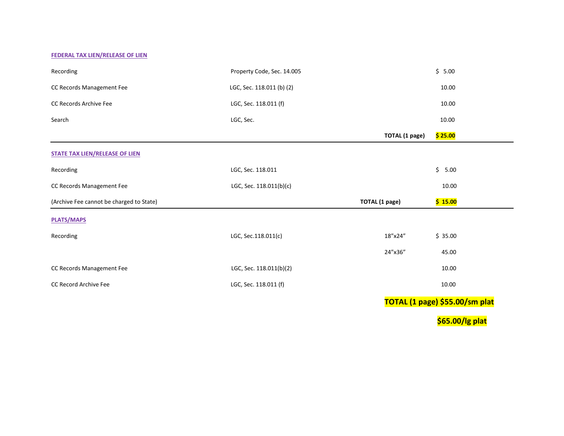#### **FEDERAL TAX LIEN/RELEASE OF LIEN**

| Recording                                | Property Code, Sec. 14.005 |                       | \$5.00          |
|------------------------------------------|----------------------------|-----------------------|-----------------|
| CC Records Management Fee                | LGC, Sec. 118.011 (b) (2)  |                       | 10.00           |
| CC Records Archive Fee                   | LGC, Sec. 118.011 (f)      |                       | 10.00           |
| Search                                   | LGC, Sec.                  |                       | 10.00           |
|                                          |                            | <b>TOTAL</b> (1 page) | \$25.00         |
| <b>STATE TAX LIEN/RELEASE OF LIEN</b>    |                            |                       |                 |
| Recording                                | LGC, Sec. 118.011          |                       | $\zeta$<br>5.00 |
| CC Records Management Fee                | LGC, Sec. 118.011(b)(c)    |                       | 10.00           |
| (Archive Fee cannot be charged to State) |                            | <b>TOTAL</b> (1 page) | \$15.00         |
| <b>PLATS/MAPS</b>                        |                            |                       |                 |
| Recording                                | LGC, Sec.118.011(c)        | 18"x24"               | \$35.00         |
|                                          |                            | 24"x36"               | 45.00           |
| CC Records Management Fee                | LGC, Sec. 118.011(b)(2)    |                       | 10.00           |
| CC Record Archive Fee                    | LGC, Sec. 118.011 (f)      |                       | 10.00           |
|                                          |                            |                       |                 |

**TOTAL (1 page) \$55.00/sm plat**

**\$65.00/lg plat**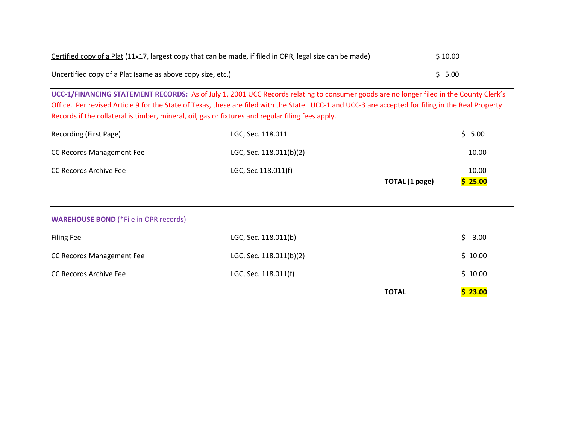| Certified copy of a Plat (11x17, largest copy that can be made, if filed in OPR, legal size can be made) | \$10.00 |
|----------------------------------------------------------------------------------------------------------|---------|
| Uncertified copy of a Plat (same as above copy size, etc.)                                               | \$ 5.00 |

**UCC-1/FINANCING STATEMENT RECORDS:** As of July 1, 2001 UCC Records relating to consumer goods are no longer filed in the County Clerk's Office. Per revised Article 9 for the State of Texas, these are filed with the State. UCC-1 and UCC-3 are accepted for filing in the Real Property Records if the collateral is timber, mineral, oil, gas or fixtures and regular filing fees apply.

| Recording (First Page)           | LGC, Sec. 118.011       | \$5.00  |
|----------------------------------|-------------------------|---------|
| <b>CC Records Management Fee</b> | LGC, Sec. 118.011(b)(2) | 10.00   |
| CC Records Archive Fee           | LGC, Sec 118.011(f)     | 10.00   |
|                                  | TOTAL (1 page)          | \$25.00 |

|                                              |                         | <b>TOTAL</b> | \$23.00 |
|----------------------------------------------|-------------------------|--------------|---------|
| CC Records Archive Fee                       | LGC, Sec. 118.011(f)    |              | \$10.00 |
| CC Records Management Fee                    | LGC, Sec. 118.011(b)(2) |              | \$10.00 |
| <b>Filing Fee</b>                            | LGC, Sec. 118.011(b)    |              | \$3.00  |
| <b>WAREHOUSE BOND</b> (*File in OPR records) |                         |              |         |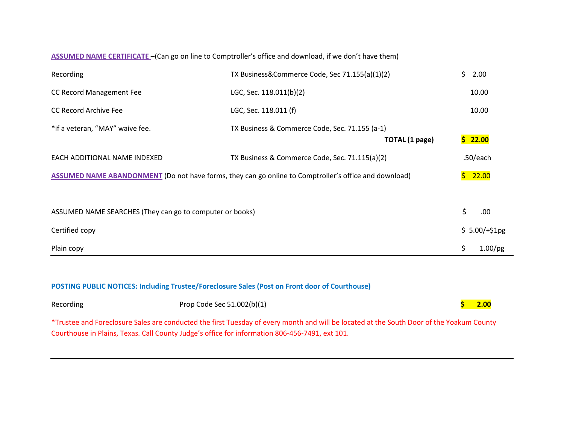### **ASSUMED NAME CERTIFICATE** –(Can go on line to Comptroller's office and download, if we don't have them)

| Recording                                                | TX Business&Commerce Code, Sec 71.155(a)(1)(2)                                                        | Ś.  | 2.00          |
|----------------------------------------------------------|-------------------------------------------------------------------------------------------------------|-----|---------------|
| CC Record Management Fee                                 | LGC, Sec. 118.011(b)(2)                                                                               |     | 10.00         |
| <b>CC Record Archive Fee</b>                             | LGC, Sec. 118.011 (f)                                                                                 |     | 10.00         |
| *if a veteran, "MAY" waive fee.                          | TX Business & Commerce Code, Sec. 71.155 (a-1)                                                        |     |               |
|                                                          | <b>TOTAL</b> (1 page)                                                                                 |     | \$22.00       |
| EACH ADDITIONAL NAME INDEXED                             | TX Business & Commerce Code, Sec. 71.115(a)(2)                                                        |     | $.50$ /each   |
|                                                          | ASSUMED NAME ABANDONMENT (Do not have forms, they can go online to Comptroller's office and download) |     | \$22.00       |
|                                                          |                                                                                                       |     |               |
| ASSUMED NAME SEARCHES (They can go to computer or books) |                                                                                                       | \$  | .00           |
| Certified copy                                           |                                                                                                       |     | $$5.00/+$1pg$ |
| Plain copy                                               |                                                                                                       | \$. | $1.00$ /pg    |

### **POSTING PUBLIC NOTICES: Including Trustee/Foreclosure Sales (Post on Front door of Courthouse)**

| Recording | Prop Code Sec 51.002(b)(1) |  |  | $\boldsymbol{\zeta}$ 2.00 |  |  |
|-----------|----------------------------|--|--|---------------------------|--|--|
|           |                            |  |  |                           |  |  |

\*Trustee and Foreclosure Sales are conducted the first Tuesday of every month and will be located at the South Door of the Yoakum County Courthouse in Plains, Texas. Call County Judge's office for information 806-456-7491, ext 101.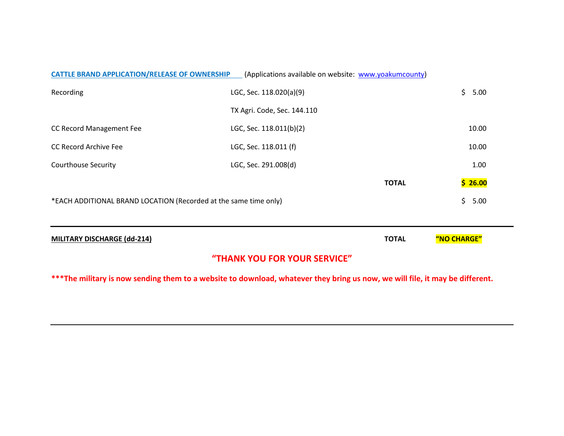|                                                                                 | "THANK YOU FOR YOUR SERVICE"                          |              |             |
|---------------------------------------------------------------------------------|-------------------------------------------------------|--------------|-------------|
| <b>MILITARY DISCHARGE (dd-214)</b>                                              |                                                       | <b>TOTAL</b> | "NO CHARGE" |
| *EACH ADDITIONAL BRAND LOCATION (Recorded at the same time only)<br>\$.<br>5.00 |                                                       |              |             |
|                                                                                 |                                                       | <b>TOTAL</b> | \$26.00     |
| <b>Courthouse Security</b>                                                      | LGC, Sec. 291.008(d)                                  |              | 1.00        |
|                                                                                 |                                                       |              |             |
| <b>CC Record Archive Fee</b>                                                    | LGC, Sec. 118.011 (f)                                 |              | 10.00       |
| CC Record Management Fee                                                        | LGC, Sec. 118.011(b)(2)                               |              | 10.00       |
|                                                                                 | TX Agri. Code, Sec. 144.110                           |              |             |
| Recording                                                                       | LGC, Sec. 118.020(a)(9)                               |              | \$.<br>5.00 |
| <b>CATTLE BRAND APPLICATION/RELEASE OF OWNERSHIP</b>                            | (Applications available on website: www.yoakumcounty) |              |             |

**\*\*\*The military is now sending them to a website to download, whatever they bring us now, we will file, it may be different.**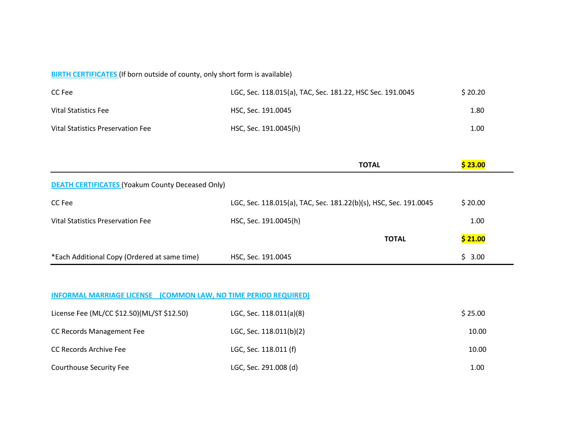## **BIRTH CERTIFICATES** (If born outside of county, only short form is available)

| CC Fee                            | LGC, Sec. 118.015(a), TAC, Sec. 181.22, HSC Sec. 191.0045 | \$20.20 |
|-----------------------------------|-----------------------------------------------------------|---------|
| Vital Statistics Fee              | HSC, Sec. 191.0045                                        | 1.80    |
| Vital Statistics Preservation Fee | HSC, Sec. 191.0045(h)                                     | 1.00    |

|                                                         | <b>TOTAL</b>                                                     | \$23.00 |
|---------------------------------------------------------|------------------------------------------------------------------|---------|
| <b>DEATH CERTIFICATES (Yoakum County Deceased Only)</b> |                                                                  |         |
| CC Fee                                                  | LGC, Sec. 118.015(a), TAC, Sec. 181.22(b)(s), HSC, Sec. 191.0045 | \$20.00 |
| Vital Statistics Preservation Fee                       | HSC, Sec. 191.0045(h)                                            | 1.00    |
|                                                         | <b>TOTAL</b>                                                     | \$21.00 |
| *Each Additional Copy (Ordered at same time)            | HSC, Sec. 191.0045                                               | \$3.00  |

### **INFORMAL MARRIAGE LICENSE (COMMON LAW, NO TIME PERIOD REQUIRED)**

| License Fee (ML/CC \$12.50)(ML/ST \$12.50) | LGC, Sec. 118.011(a)(8) | \$25.00 |
|--------------------------------------------|-------------------------|---------|
| CC Records Management Fee                  | LGC, Sec. 118.011(b)(2) | 10.00   |
| CC Records Archive Fee                     | LGC, Sec. 118.011 (f)   | 10.00   |
| Courthouse Security Fee                    | LGC, Sec. 291.008 (d)   | 1.00    |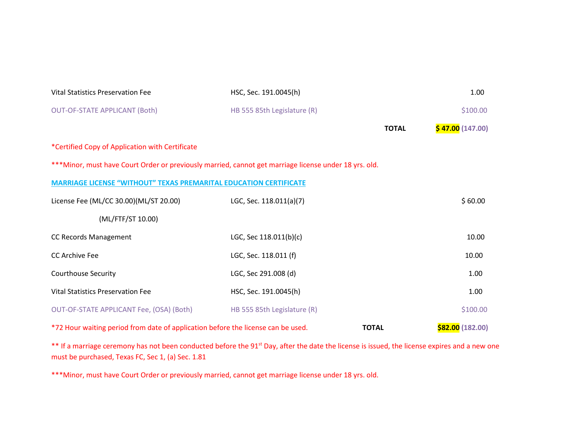| Vital Statistics Preservation Fee                                                                     | HSC, Sec. 191.0045(h)       |              | 1.00             |
|-------------------------------------------------------------------------------------------------------|-----------------------------|--------------|------------------|
| <b>OUT-OF-STATE APPLICANT (Both)</b>                                                                  | HB 555 85th Legislature (R) |              | \$100.00         |
|                                                                                                       |                             | <b>TOTAL</b> | \$47.00(147.00)  |
| *Certified Copy of Application with Certificate                                                       |                             |              |                  |
| ***Minor, must have Court Order or previously married, cannot get marriage license under 18 yrs. old. |                             |              |                  |
| <b>MARRIAGE LICENSE "WITHOUT" TEXAS PREMARITAL EDUCATION CERTIFICATE</b>                              |                             |              |                  |
| License Fee (ML/CC 30.00)(ML/ST 20.00)                                                                | LGC, Sec. 118.011(a)(7)     |              | \$60.00          |
| (ML/FTF/ST 10.00)                                                                                     |                             |              |                  |
| CC Records Management                                                                                 | LGC, Sec 118.011(b)(c)      |              | 10.00            |
| <b>CC Archive Fee</b>                                                                                 | LGC, Sec. 118.011 (f)       |              | 10.00            |
| <b>Courthouse Security</b>                                                                            | LGC, Sec 291.008 (d)        |              | 1.00             |
| <b>Vital Statistics Preservation Fee</b>                                                              | HSC, Sec. 191.0045(h)       |              | 1.00             |
| OUT-OF-STATE APPLICANT Fee, (OSA) (Both)                                                              | HB 555 85th Legislature (R) |              | \$100.00         |
| *72 Hour waiting period from date of application before the license can be used.                      |                             | <b>TOTAL</b> | \$82.00 (182.00) |

\*\* If a marriage ceremony has not been conducted before the 91<sup>st</sup> Day, after the date the license is issued, the license expires and a new one must be purchased, Texas FC, Sec 1, (a) Sec. 1.81

\*\*\*Minor, must have Court Order or previously married, cannot get marriage license under 18 yrs. old.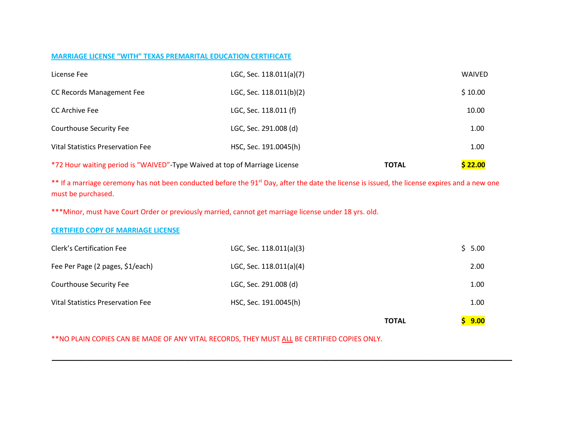#### **MARRIAGE LICENSE "WITH" TEXAS PREMARITAL EDUCATION CERTIFICATE**

| *72 Hour waiting period is "WAIVED"-Type Waived at top of Marriage License |                         | \$22.00<br><b>TOTAL</b> |  |
|----------------------------------------------------------------------------|-------------------------|-------------------------|--|
| Vital Statistics Preservation Fee                                          | HSC, Sec. 191.0045(h)   | 1.00                    |  |
| Courthouse Security Fee                                                    | LGC, Sec. 291.008 (d)   | 1.00                    |  |
| CC Archive Fee                                                             | LGC, Sec. 118.011 (f)   | 10.00                   |  |
| CC Records Management Fee                                                  | LGC, Sec. 118.011(b)(2) | \$10.00                 |  |
| License Fee                                                                | LGC, Sec. 118.011(a)(7) | <b>WAIVED</b>           |  |

\*\* If a marriage ceremony has not been conducted before the 91<sup>st</sup> Day, after the date the license is issued, the license expires and a new one must be purchased.

\*\*\*Minor, must have Court Order or previously married, cannot get marriage license under 18 yrs. old.

### **CERTIFIED COPY OF MARRIAGE LICENSE**

|                                   |                         | 9.00<br><b>TOTAL</b> |
|-----------------------------------|-------------------------|----------------------|
| Vital Statistics Preservation Fee | HSC, Sec. 191.0045(h)   | 1.00                 |
| <b>Courthouse Security Fee</b>    | LGC, Sec. 291.008 (d)   | 1.00                 |
| Fee Per Page (2 pages, \$1/each)  | LGC, Sec. 118.011(a)(4) | 2.00                 |
| Clerk's Certification Fee         | LGC, Sec. 118.011(a)(3) | \$5.00               |

**\_\_\_\_\_\_\_\_\_\_\_\_\_\_\_\_\_\_\_\_\_\_\_\_\_\_\_\_\_\_\_\_\_\_\_\_\_\_\_\_\_\_\_\_\_\_\_\_\_\_\_\_\_\_\_\_\_\_\_\_\_\_\_\_\_\_\_\_\_\_\_\_\_\_\_\_\_\_\_\_\_\_\_\_\_\_\_\_\_\_\_\_\_\_\_\_\_\_\_\_\_\_\_\_\_\_\_\_\_\_\_\_\_\_\_\_\_\_**

\*\*NO PLAIN COPIES CAN BE MADE OF ANY VITAL RECORDS, THEY MUST ALL BE CERTIFIED COPIES ONLY.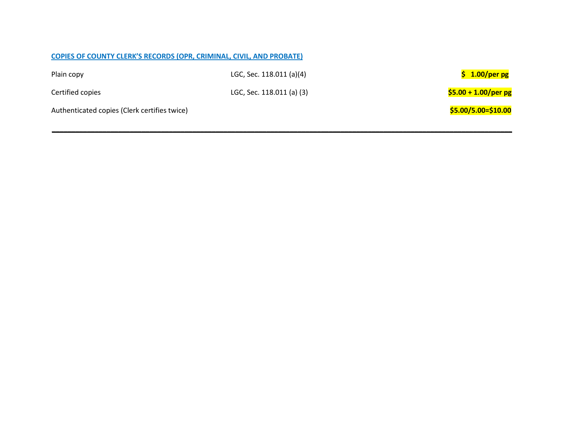|                                              | <b>COPIES OF COUNTY CLERK'S RECORDS (OPR, CRIMINAL, CIVIL, AND PROBATE)</b> |                       |
|----------------------------------------------|-----------------------------------------------------------------------------|-----------------------|
| Plain copy                                   | LGC, Sec. 118.011 (a)(4)                                                    | $$1.00/per$ pg        |
| Certified copies                             | LGC, Sec. 118.011 (a) (3)                                                   | $$5.00 + 1.00/per$ pg |
| Authenticated copies (Clerk certifies twice) |                                                                             | \$5.00/5.00=\$10.00   |
|                                              |                                                                             |                       |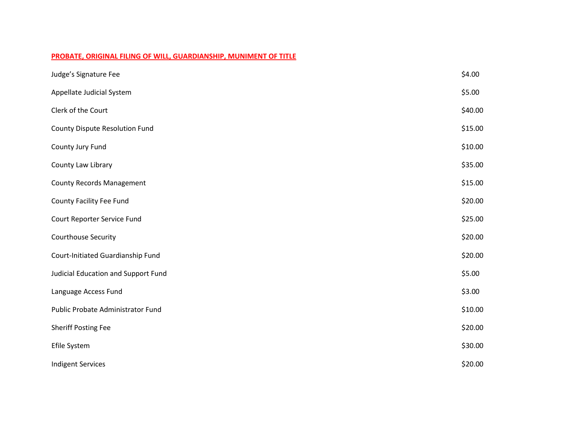### **PROBATE, ORIGINAL FILING OF WILL, GUARDIANSHIP, MUNIMENT OF TITLE**

| Judge's Signature Fee                 | \$4.00  |
|---------------------------------------|---------|
| Appellate Judicial System             | \$5.00  |
| Clerk of the Court                    | \$40.00 |
| <b>County Dispute Resolution Fund</b> | \$15.00 |
| County Jury Fund                      | \$10.00 |
| County Law Library                    | \$35.00 |
| <b>County Records Management</b>      | \$15.00 |
| <b>County Facility Fee Fund</b>       | \$20.00 |
| Court Reporter Service Fund           | \$25.00 |
| Courthouse Security                   | \$20.00 |
| Court-Initiated Guardianship Fund     | \$20.00 |
| Judicial Education and Support Fund   | \$5.00  |
| Language Access Fund                  | \$3.00  |
| Public Probate Administrator Fund     | \$10.00 |
| <b>Sheriff Posting Fee</b>            | \$20.00 |
| Efile System                          | \$30.00 |
| <b>Indigent Services</b>              | \$20.00 |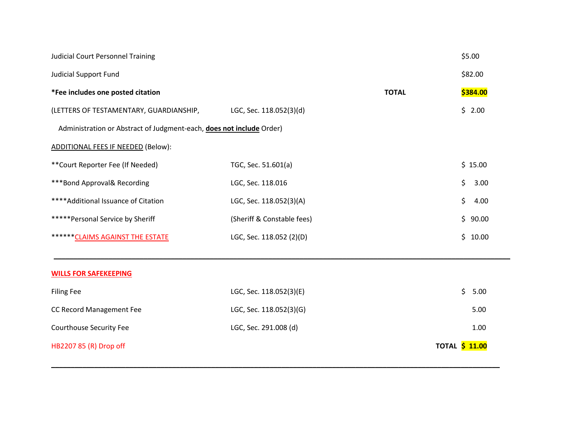| <b>Judicial Court Personnel Training</b>                             |                            |              | \$5.00                |
|----------------------------------------------------------------------|----------------------------|--------------|-----------------------|
| <b>Judicial Support Fund</b>                                         |                            |              | \$82.00               |
| *Fee includes one posted citation                                    |                            | <b>TOTAL</b> | \$384.00              |
| (LETTERS OF TESTAMENTARY, GUARDIANSHIP,                              | LGC, Sec. 118.052(3)(d)    |              | \$2.00                |
| Administration or Abstract of Judgment-each, does not include Order) |                            |              |                       |
| <b>ADDITIONAL FEES IF NEEDED (Below):</b>                            |                            |              |                       |
| ** Court Reporter Fee (If Needed)                                    | TGC, Sec. 51.601(a)        |              | \$15.00               |
| ***Bond Approval& Recording                                          | LGC, Sec. 118.016          |              | \$<br>3.00            |
| **** Additional Issuance of Citation                                 | LGC, Sec. 118.052(3)(A)    |              | \$<br>4.00            |
| *****Personal Service by Sheriff                                     | (Sheriff & Constable fees) |              | \$<br>90.00           |
| ****** CLAIMS AGAINST THE ESTATE                                     | LGC, Sec. 118.052 (2)(D)   |              | \$<br>10.00           |
|                                                                      |                            |              |                       |
| <b>WILLS FOR SAFEKEEPING</b>                                         |                            |              |                       |
| <b>Filing Fee</b>                                                    | LGC, Sec. 118.052(3)(E)    |              | \$<br>5.00            |
| CC Record Management Fee                                             | LGC, Sec. 118.052(3)(G)    |              | 5.00                  |
| <b>Courthouse Security Fee</b>                                       | LGC, Sec. 291.008 (d)      |              | 1.00                  |
| HB2207 85 (R) Drop off                                               |                            |              | <b>TOTAL \$ 11.00</b> |

**\_\_\_\_\_\_\_\_\_\_\_\_\_\_\_\_\_\_\_\_\_\_\_\_\_\_\_\_\_\_\_\_\_\_\_\_\_\_\_\_\_\_\_\_\_\_\_\_\_\_\_\_\_\_\_\_\_\_\_\_\_\_\_\_\_\_\_\_\_\_\_\_\_\_\_\_\_\_\_\_\_\_\_\_\_\_\_\_\_\_\_\_\_\_\_\_\_\_\_\_\_\_\_\_\_\_\_\_\_\_\_\_\_\_\_**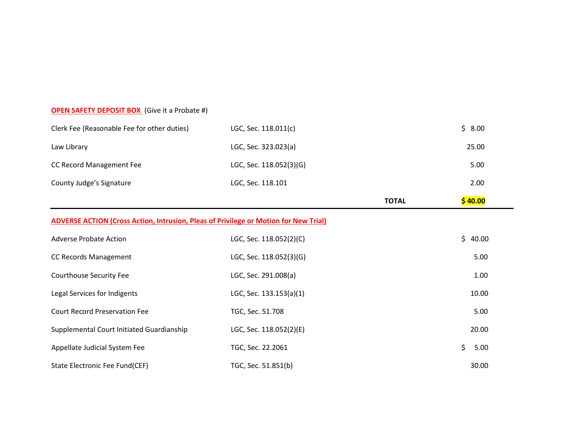## **OPEN SAFETY DEPOSIT BOX** (Give it a Probate #)

| \$40.00<br><b>TOTAL</b><br>ADVERSE ACTION (Cross Action, Intrusion, Pleas of Privilege or Motion for New Trial) |                         |  |        |  |
|-----------------------------------------------------------------------------------------------------------------|-------------------------|--|--------|--|
| County Judge's Signature                                                                                        | LGC, Sec. 118.101       |  | 2.00   |  |
| CC Record Management Fee                                                                                        | LGC, Sec. 118.052(3)(G) |  | 5.00   |  |
| Law Library                                                                                                     | LGC, Sec. 323.023(a)    |  | 25.00  |  |
| Clerk Fee (Reasonable Fee for other duties)                                                                     | LGC, Sec. 118.011(c)    |  | \$8.00 |  |

| <b>Adverse Probate Action</b>             | LGC, Sec. 118.052(2)(C) | \$40.00    |
|-------------------------------------------|-------------------------|------------|
| <b>CC Records Management</b>              | LGC, Sec. 118.052(3)(G) | 5.00       |
| Courthouse Security Fee                   | LGC, Sec. 291.008(a)    | 1.00       |
| Legal Services for Indigents              | LGC, Sec. 133.153(a)(1) | 10.00      |
| <b>Court Record Preservation Fee</b>      | TGC, Sec. 51.708        | 5.00       |
| Supplemental Court Initiated Guardianship | LGC, Sec. 118.052(2)(E) | 20.00      |
| Appellate Judicial System Fee             | TGC, Sec. 22.2061       | Ś.<br>5.00 |
| State Electronic Fee Fund(CEF)            | TGC, Sec. 51.851(b)     | 30.00      |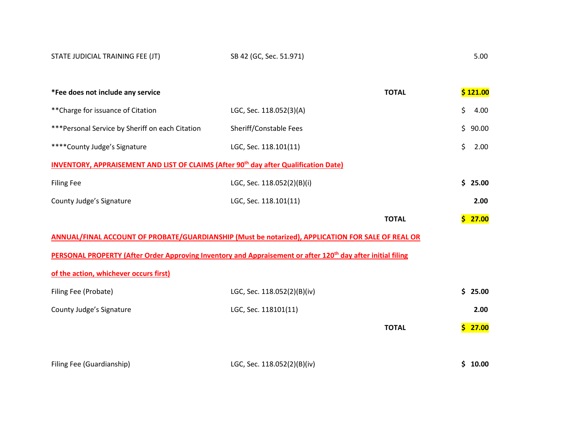| *Fee does not include any service                                                                                       |                            | <b>TOTAL</b> | \$121.00     |
|-------------------------------------------------------------------------------------------------------------------------|----------------------------|--------------|--------------|
| ** Charge for issuance of Citation                                                                                      | LGC, Sec. 118.052(3)(A)    |              | \$<br>4.00   |
| ***Personal Service by Sheriff on each Citation                                                                         | Sheriff/Constable Fees     |              | \$.<br>90.00 |
| ****County Judge's Signature                                                                                            | LGC, Sec. 118.101(11)      |              | \$<br>2.00   |
| INVENTORY, APPRAISEMENT AND LIST OF CLAIMS (After 90 <sup>th</sup> day after Qualification Date)                        |                            |              |              |
| <b>Filing Fee</b>                                                                                                       | LGC, Sec. 118.052(2)(B)(i) |              | \$.<br>25.00 |
| County Judge's Signature                                                                                                | LGC, Sec. 118.101(11)      |              | 2.00         |
|                                                                                                                         |                            | <b>TOTAL</b> | \$.<br>27.00 |
| ANNUAL/FINAL ACCOUNT OF PROBATE/GUARDIANSHIP (Must be notarized), APPLICATION FOR SALE OF REAL OR                       |                            |              |              |
| PERSONAL PROPERTY (After Order Approving Inventory and Appraisement or after 120 <sup>th</sup> day after initial filing |                            |              |              |
| of the action, whichever occurs first)                                                                                  |                            |              |              |

| Filing Fee (Probate)     | LGC, Sec. 118.052(2)(B)(iv) |              | \$25.00 |
|--------------------------|-----------------------------|--------------|---------|
| County Judge's Signature | LGC, Sec. 118101(11)        |              | 2.00    |
|                          |                             | <b>TOTAL</b> | \$27.00 |
|                          |                             |              |         |
|                          |                             |              |         |

Filing Fee (Guardianship) LGC, Sec. 118.052(2)(B)(iv) **\$ 10.00**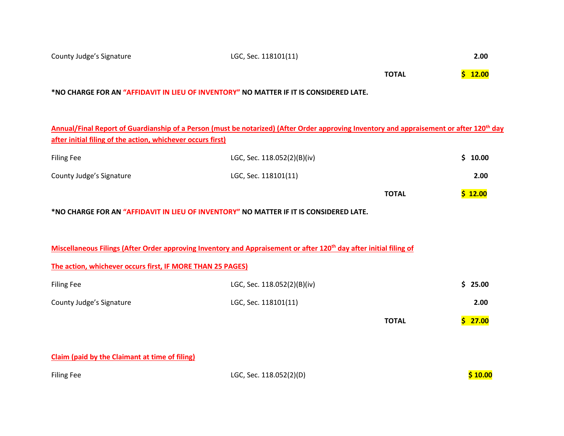|                                                                                                                                                      | <b>TOTAL</b> | \$12.00 |
|------------------------------------------------------------------------------------------------------------------------------------------------------|--------------|---------|
| *NO CHARGE FOR AN "AFFIDAVIT IN LIEU OF INVENTORY" NO MATTER IF IT IS CONSIDERED LATE.                                                               |              |         |
|                                                                                                                                                      |              |         |
| Annual/Final Report of Guardianship of a Person (must be notarized) (After Order approving Inventory and appraisement or after 120 <sup>th</sup> day |              |         |
| after initial filing of the action, whichever occurs first)                                                                                          |              |         |

County Judge's Signature LGC, Sec. 118101(11) **2.00**

| <b>Filing Fee</b>        | LGC, Sec. 118.052(2)(B)(iv) |              | \$10.00 |
|--------------------------|-----------------------------|--------------|---------|
| County Judge's Signature | LGC, Sec. 118101(11)        |              | 2.00    |
|                          |                             | <b>TOTAL</b> | \$12.00 |

**\*NO CHARGE FOR AN "AFFIDAVIT IN LIEU OF INVENTORY" NO MATTER IF IT IS CONSIDERED LATE.**

|                                                            | Miscellaneous Filings (After Order approving Inventory and Appraisement or after 120 <sup>th</sup> day after initial filing of |              |        |
|------------------------------------------------------------|--------------------------------------------------------------------------------------------------------------------------------|--------------|--------|
| The action, whichever occurs first, IF MORE THAN 25 PAGES) |                                                                                                                                |              |        |
| <b>Filing Fee</b>                                          | LGC, Sec. 118.052(2)(B)(iv)                                                                                                    |              | 525.00 |
| County Judge's Signature                                   | LGC, Sec. 118101(11)                                                                                                           |              | 2.00   |
|                                                            |                                                                                                                                | <b>TOTAL</b> | 27.00  |

**Claim (paid by the Claimant at time of filing)**

Filing Fee LGC, Sec. 118.052(2)(D) **\$ 10.00**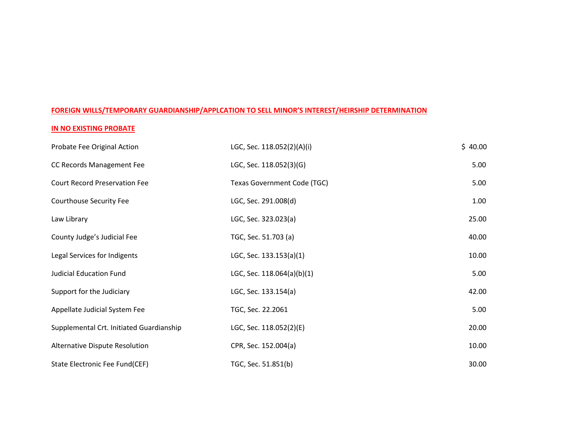### **FOREIGN WILLS/TEMPORARY GUARDIANSHIP/APPLCATION TO SELL MINOR'S INTEREST/HEIRSHIP DETERMINATION**

### **IN NO EXISTING PROBATE**

| Probate Fee Original Action              | LGC, Sec. 118.052(2)(A)(i)  | \$40.00 |
|------------------------------------------|-----------------------------|---------|
| CC Records Management Fee                | LGC, Sec. 118.052(3)(G)     | 5.00    |
| <b>Court Record Preservation Fee</b>     | Texas Government Code (TGC) | 5.00    |
| <b>Courthouse Security Fee</b>           | LGC, Sec. 291.008(d)        | 1.00    |
| Law Library                              | LGC, Sec. 323.023(a)        | 25.00   |
| County Judge's Judicial Fee              | TGC, Sec. 51.703 (a)        | 40.00   |
| Legal Services for Indigents             | LGC, Sec. 133.153(a)(1)     | 10.00   |
| <b>Judicial Education Fund</b>           | LGC, Sec. 118.064(a)(b)(1)  | 5.00    |
| Support for the Judiciary                | LGC, Sec. 133.154(a)        | 42.00   |
| Appellate Judicial System Fee            | TGC, Sec. 22.2061           | 5.00    |
| Supplemental Crt. Initiated Guardianship | LGC, Sec. 118.052(2)(E)     | 20.00   |
| Alternative Dispute Resolution           | CPR, Sec. 152.004(a)        | 10.00   |
| State Electronic Fee Fund(CEF)           | TGC, Sec. 51.851(b)         | 30.00   |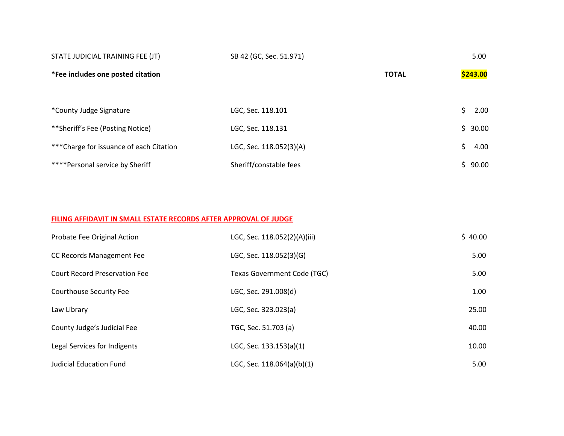| STATE JUDICIAL TRAINING FEE (JT)         | SB 42 (GC, Sec. 51.971) |              | 5.00     |
|------------------------------------------|-------------------------|--------------|----------|
| *Fee includes one posted citation        |                         | <b>TOTAL</b> | \$243.00 |
|                                          |                         |              |          |
| *County Judge Signature                  | LGC, Sec. 118.101       |              | 2.00     |
| **Sheriff's Fee (Posting Notice)         | LGC, Sec. 118.131       |              | \$30.00  |
| *** Charge for issuance of each Citation | LGC, Sec. 118.052(3)(A) |              | 4.00     |
| ****Personal service by Sheriff          | Sheriff/constable fees  |              | 90.00    |

### **FILING AFFIDAVIT IN SMALL ESTATE RECORDS AFTER APPROVAL OF JUDGE**

| Probate Fee Original Action          | LGC, Sec. 118.052(2)(A)(iii)       | \$40.00 |
|--------------------------------------|------------------------------------|---------|
| CC Records Management Fee            | LGC, Sec. 118.052(3)(G)            | 5.00    |
| <b>Court Record Preservation Fee</b> | <b>Texas Government Code (TGC)</b> | 5.00    |
| Courthouse Security Fee              | LGC, Sec. 291.008(d)               | 1.00    |
| Law Library                          | LGC, Sec. 323.023(a)               | 25.00   |
| County Judge's Judicial Fee          | TGC, Sec. 51.703 (a)               | 40.00   |
| Legal Services for Indigents         | LGC, Sec. 133.153(a)(1)            | 10.00   |
| <b>Judicial Education Fund</b>       | LGC, Sec. $118.064(a)(b)(1)$       | 5.00    |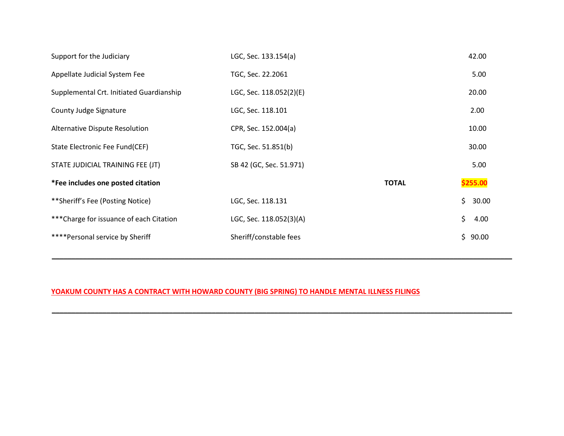| Support for the Judiciary                | LGC, Sec. 133.154(a)    |              | 42.00    |
|------------------------------------------|-------------------------|--------------|----------|
| Appellate Judicial System Fee            | TGC, Sec. 22.2061       |              | 5.00     |
| Supplemental Crt. Initiated Guardianship | LGC, Sec. 118.052(2)(E) |              | 20.00    |
| County Judge Signature                   | LGC, Sec. 118.101       |              | 2.00     |
| Alternative Dispute Resolution           | CPR, Sec. 152.004(a)    |              | 10.00    |
| State Electronic Fee Fund(CEF)           | TGC, Sec. 51.851(b)     |              | 30.00    |
| STATE JUDICIAL TRAINING FEE (JT)         | SB 42 (GC, Sec. 51.971) |              | 5.00     |
| *Fee includes one posted citation        |                         | <b>TOTAL</b> | \$255.00 |
| **Sheriff's Fee (Posting Notice)         | LGC, Sec. 118.131       | \$           | 30.00    |
| *** Charge for issuance of each Citation | LGC, Sec. 118.052(3)(A) | \$           | 4.00     |
| ****Personal service by Sheriff          | Sheriff/constable fees  |              | \$90.00  |
|                                          |                         |              |          |

**\_\_\_\_\_\_\_\_\_\_\_\_\_\_\_\_\_\_\_\_\_\_\_\_\_\_\_\_\_\_\_\_\_\_\_\_\_\_\_\_\_\_\_\_\_\_\_\_\_\_\_\_\_\_\_\_\_\_\_\_\_\_\_\_\_\_\_\_\_\_\_\_\_\_\_\_\_\_\_\_\_\_\_\_\_\_\_\_\_\_\_\_\_\_\_\_\_\_\_\_\_\_\_\_\_\_\_\_\_\_\_\_\_\_\_\_\_\_**

**\_\_\_\_\_\_\_\_\_\_\_\_\_\_\_\_\_\_\_\_\_\_\_\_\_\_\_\_\_\_\_\_\_\_\_\_\_\_\_\_\_\_\_\_\_\_\_\_\_\_\_\_\_\_\_\_\_\_\_\_\_\_\_\_\_\_\_\_\_\_\_\_\_\_\_\_\_\_\_\_\_\_\_\_\_\_\_\_\_\_\_\_\_\_\_\_\_\_\_\_\_\_\_\_\_\_\_\_\_\_\_\_\_\_\_\_\_\_**

## **YOAKUM COUNTY HAS A CONTRACT WITH HOWARD COUNTY (BIG SPRING) TO HANDLE MENTAL ILLNESS FILINGS**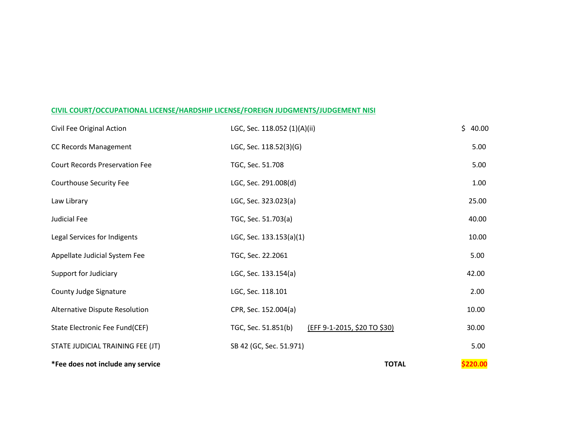### **CIVIL COURT/OCCUPATIONAL LICENSE/HARDSHIP LICENSE/FOREIGN JUDGMENTS/JUDGEMENT NISI**

| *Fee does not include any service     |                                                     | \$220.00<br><b>TOTAL</b> |
|---------------------------------------|-----------------------------------------------------|--------------------------|
| STATE JUDICIAL TRAINING FEE (JT)      | SB 42 (GC, Sec. 51.971)                             | 5.00                     |
| State Electronic Fee Fund(CEF)        | (EFF 9-1-2015, \$20 TO \$30)<br>TGC, Sec. 51.851(b) | 30.00                    |
| Alternative Dispute Resolution        | CPR, Sec. 152.004(a)                                | 10.00                    |
| County Judge Signature                | LGC, Sec. 118.101                                   | 2.00                     |
| Support for Judiciary                 | LGC, Sec. 133.154(a)                                | 42.00                    |
| Appellate Judicial System Fee         | TGC, Sec. 22.2061                                   | 5.00                     |
| Legal Services for Indigents          | LGC, Sec. 133.153(a)(1)                             | 10.00                    |
| <b>Judicial Fee</b>                   | TGC, Sec. 51.703(a)                                 | 40.00                    |
| Law Library                           | LGC, Sec. 323.023(a)                                | 25.00                    |
| Courthouse Security Fee               | LGC, Sec. 291.008(d)                                | 1.00                     |
| <b>Court Records Preservation Fee</b> | TGC, Sec. 51.708                                    | 5.00                     |
| CC Records Management                 | LGC, Sec. 118.52(3)(G)                              | 5.00                     |
| Civil Fee Original Action             | LGC, Sec. 118.052 (1)(A)(ii)                        | \$<br>40.00              |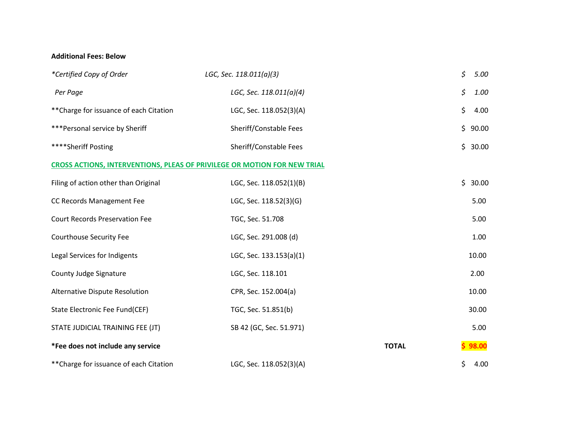### **Additional Fees: Below**

| *Certified Copy of Order                                                 | LGC, Sec. 118.011(a)(3) |              | \$<br>5.00  |
|--------------------------------------------------------------------------|-------------------------|--------------|-------------|
| Per Page                                                                 | LGC, Sec. 118.011(a)(4) |              | \$<br>1.00  |
| ** Charge for issuance of each Citation                                  | LGC, Sec. 118.052(3)(A) |              | \$<br>4.00  |
| ***Personal service by Sheriff                                           | Sheriff/Constable Fees  |              | \$<br>90.00 |
| ****Sheriff Posting                                                      | Sheriff/Constable Fees  |              | \$<br>30.00 |
| CROSS ACTIONS, INTERVENTIONS, PLEAS OF PRIVILEGE OR MOTION FOR NEW TRIAL |                         |              |             |
| Filing of action other than Original                                     | LGC, Sec. 118.052(1)(B) |              | \$<br>30.00 |
| CC Records Management Fee                                                | LGC, Sec. 118.52(3)(G)  |              | 5.00        |
| <b>Court Records Preservation Fee</b>                                    | TGC, Sec. 51.708        |              | 5.00        |
| <b>Courthouse Security Fee</b>                                           | LGC, Sec. 291.008 (d)   |              | 1.00        |
| Legal Services for Indigents                                             | LGC, Sec. 133.153(a)(1) |              | 10.00       |
| <b>County Judge Signature</b>                                            | LGC, Sec. 118.101       |              | 2.00        |
| Alternative Dispute Resolution                                           | CPR, Sec. 152.004(a)    |              | 10.00       |
| State Electronic Fee Fund(CEF)                                           | TGC, Sec. 51.851(b)     |              | 30.00       |
| STATE JUDICIAL TRAINING FEE (JT)                                         | SB 42 (GC, Sec. 51.971) |              | 5.00        |
| *Fee does not include any service                                        |                         | <b>TOTAL</b> | \$98.00     |
| ** Charge for issuance of each Citation                                  | LGC, Sec. 118.052(3)(A) |              | \$<br>4.00  |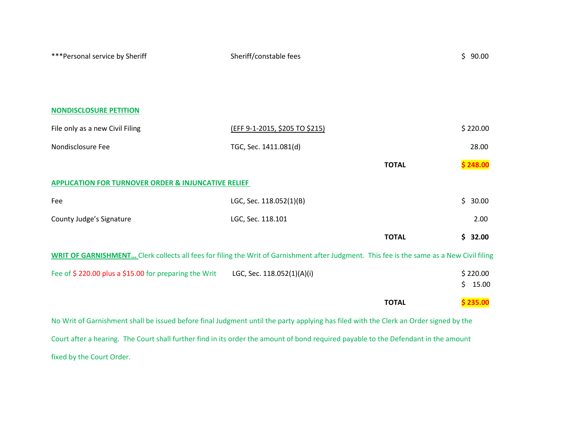| *** Personal service by Sheriff                                                                                                                  | Sheriff/constable fees         |              | \$90.00                 |
|--------------------------------------------------------------------------------------------------------------------------------------------------|--------------------------------|--------------|-------------------------|
|                                                                                                                                                  |                                |              |                         |
|                                                                                                                                                  |                                |              |                         |
| <b>NONDISCLOSURE PETITION</b>                                                                                                                    |                                |              |                         |
| File only as a new Civil Filing                                                                                                                  | (EFF 9-1-2015, \$205 TO \$215) |              | \$220.00                |
| Nondisclosure Fee                                                                                                                                | TGC, Sec. 1411.081(d)          |              | 28.00                   |
|                                                                                                                                                  |                                | <b>TOTAL</b> | \$248.00                |
| <b>APPLICATION FOR TURNOVER ORDER &amp; INJUNCATIVE RELIEF</b>                                                                                   |                                |              |                         |
| Fee                                                                                                                                              | LGC, Sec. 118.052(1)(B)        |              | \$<br>30.00             |
| County Judge's Signature                                                                                                                         | LGC, Sec. 118.101              |              | 2.00                    |
|                                                                                                                                                  |                                | <b>TOTAL</b> | \$32.00                 |
| <b>WRIT OF GARNISHMENT</b> Clerk collects all fees for filing the Writ of Garnishment after Judgment. This fee is the same as a New Civil filing |                                |              |                         |
| Fee of \$220.00 plus a \$15.00 for preparing the Writ                                                                                            | LGC, Sec. 118.052(1)(A)(i)     |              | \$220.00<br>\$<br>15.00 |
|                                                                                                                                                  |                                | <b>TOTAL</b> | \$235.00                |
| No Writ of Garnishment shall be issued before final Judgment until the party applying has filed with the Clerk an Order signed by the            |                                |              |                         |
| Court after a hearing. The Court shall further find in its order the amount of bond required payable to the Defendant in the amount              |                                |              |                         |

fixed by the Court Order.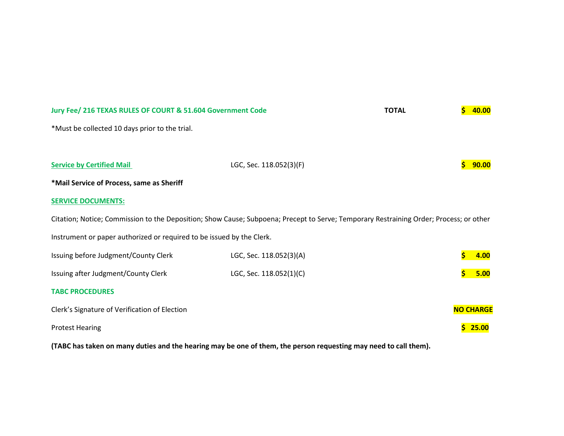| Jury Fee/ 216 TEXAS RULES OF COURT & 51.604 Government Code                                                                            |                         | <b>TOTAL</b> | 40.00            |
|----------------------------------------------------------------------------------------------------------------------------------------|-------------------------|--------------|------------------|
| *Must be collected 10 days prior to the trial.                                                                                         |                         |              |                  |
|                                                                                                                                        |                         |              |                  |
| <b>Service by Certified Mail</b>                                                                                                       | LGC, Sec. 118.052(3)(F) |              | 90.00            |
| *Mail Service of Process, same as Sheriff                                                                                              |                         |              |                  |
| <b>SERVICE DOCUMENTS:</b>                                                                                                              |                         |              |                  |
| Citation; Notice; Commission to the Deposition; Show Cause; Subpoena; Precept to Serve; Temporary Restraining Order; Process; or other |                         |              |                  |
| Instrument or paper authorized or required to be issued by the Clerk.                                                                  |                         |              |                  |
| Issuing before Judgment/County Clerk                                                                                                   | LGC, Sec. 118.052(3)(A) |              | 4.00             |
| Issuing after Judgment/County Clerk                                                                                                    | LGC, Sec. 118.052(1)(C) |              | 5.00             |
| <b>TABC PROCEDURES</b>                                                                                                                 |                         |              |                  |
| Clerk's Signature of Verification of Election                                                                                          |                         |              | <b>NO CHARGE</b> |
| <b>Protest Hearing</b>                                                                                                                 |                         |              | 25.00            |

**(TABC has taken on many duties and the hearing may be one of them, the person requesting may need to call them).**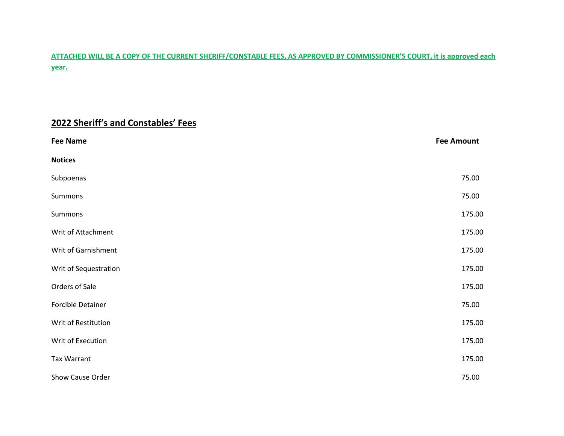## **ATTACHED WILL BE A COPY OF THE CURRENT SHERIFF/CONSTABLE FEES, AS APPROVED BY COMMISSIONER'S COURT, it is approved each year.**

# **2022 Sheriff's and Constables' Fees**

| <b>Fee Name</b>       | <b>Fee Amount</b> |
|-----------------------|-------------------|
| <b>Notices</b>        |                   |
| Subpoenas             | 75.00             |
| Summons               | 75.00             |
| Summons               | 175.00            |
| Writ of Attachment    | 175.00            |
| Writ of Garnishment   | 175.00            |
| Writ of Sequestration | 175.00            |
| Orders of Sale        | 175.00            |
| Forcible Detainer     | 75.00             |
| Writ of Restitution   | 175.00            |
| Writ of Execution     | 175.00            |
| Tax Warrant           | 175.00            |
| Show Cause Order      | 75.00             |